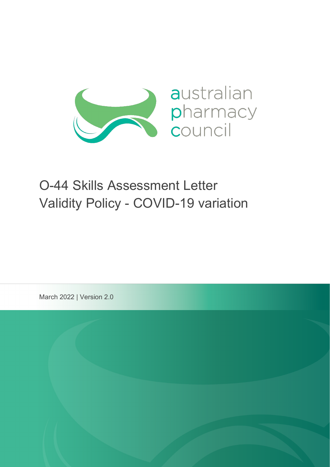

# O-44 Skills Assessment Letter Validity Policy - COVID-19 variation

March 2022 | Version 2.0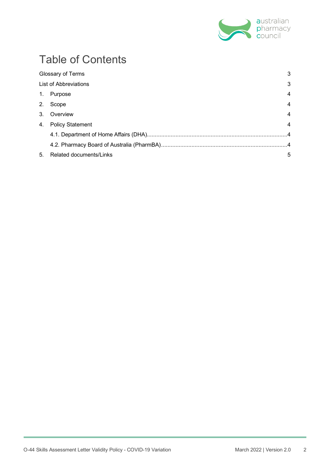

# Table of Contents

|    | Glossary of Terms              | 3              |
|----|--------------------------------|----------------|
|    | List of Abbreviations          | 3              |
|    | 1. Purpose                     | 4              |
|    | 2. Scope                       | $\overline{4}$ |
|    | 3. Overview                    | 4              |
| 4. | <b>Policy Statement</b>        | $\overline{4}$ |
|    |                                |                |
|    |                                |                |
| 5. | <b>Related documents/Links</b> | 5              |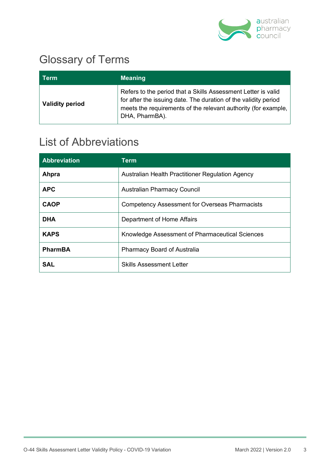

## Glossary of Terms

| Term                   | <b>Meaning</b>                                                                                                                                                                                                       |
|------------------------|----------------------------------------------------------------------------------------------------------------------------------------------------------------------------------------------------------------------|
| <b>Validity period</b> | Refers to the period that a Skills Assessment Letter is valid<br>for after the issuing date. The duration of the validity period<br>meets the requirements of the relevant authority (for example,<br>DHA, PharmBA). |

### List of Abbreviations

| <b>Abbreviation</b> | Term                                                  |
|---------------------|-------------------------------------------------------|
| Ahpra               | Australian Health Practitioner Regulation Agency      |
| <b>APC</b>          | <b>Australian Pharmacy Council</b>                    |
| <b>CAOP</b>         | <b>Competency Assessment for Overseas Pharmacists</b> |
| <b>DHA</b>          | Department of Home Affairs                            |
| <b>KAPS</b>         | Knowledge Assessment of Pharmaceutical Sciences       |
| <b>PharmBA</b>      | <b>Pharmacy Board of Australia</b>                    |
| <b>SAL</b>          | <b>Skills Assessment Letter</b>                       |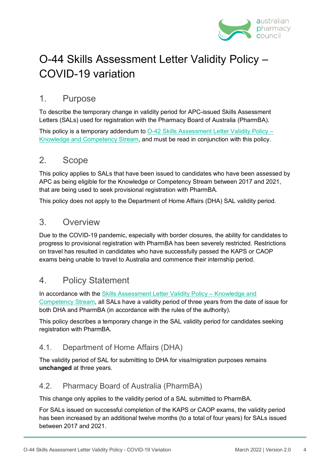

### O-44 Skills Assessment Letter Validity Policy – COVID-19 variation

#### 1. Purpose

To describe the temporary change in validity period for APC-issued Skills Assessment Letters (SALs) used for registration with the Pharmacy Board of Australia (PharmBA).

This policy is a temporary addendum to 0-42 Skills Assessment Letter Validity Policy – [Knowledge and Competency Stream,](https://www.pharmacycouncil.org.au/resources/Skills-Assessment-Letter-Validity-Policy/) and must be read in conjunction with this policy.

#### 2. Scope

This policy applies to SALs that have been issued to candidates who have been assessed by APC as being eligible for the Knowledge or Competency Stream between 2017 and 2021, that are being used to seek provisional registration with PharmBA.

This policy does not apply to the Department of Home Affairs (DHA) SAL validity period.

#### 3. Overview

Due to the COVID-19 pandemic, especially with border closures, the ability for candidates to progress to provisional registration with PharmBA has been severely restricted. Restrictions on travel has resulted in candidates who have successfully passed the KAPS or CAOP exams being unable to travel to Australia and commence their internship period.

#### 4. Policy Statement

In accordance with the [Skills Assessment Letter Validity Policy –](https://www.pharmacycouncil.org.au/resources/Skills-Assessment-Letter-Validity-Policy/) Knowledge and [Competency Stream,](https://www.pharmacycouncil.org.au/resources/Skills-Assessment-Letter-Validity-Policy/) all SALs have a validity period of three years from the date of issue for both DHA and PharmBA (in accordance with the rules of the authority).

This policy describes a temporary change in the SAL validity period for candidates seeking registration with PharmBA.

#### 4.1. Department of Home Affairs (DHA)

The validity period of SAL for submitting to DHA for visa/migration purposes remains **unchanged** at three years.

#### 4.2. Pharmacy Board of Australia (PharmBA)

This change only applies to the validity period of a SAL submitted to PharmBA.

For SALs issued on successful completion of the KAPS or CAOP exams, the validity period has been increased by an additional twelve months (to a total of four years) for SALs issued between 2017 and 2021.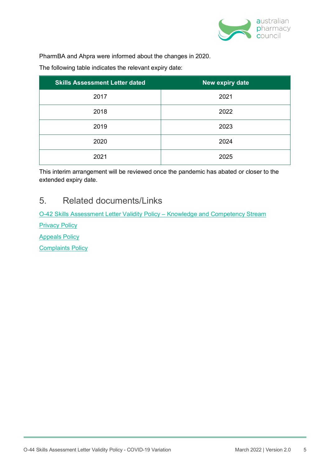

PharmBA and Ahpra were informed about the changes in 2020.

The following table indicates the relevant expiry date:

| <b>Skills Assessment Letter dated</b> | New expiry date |
|---------------------------------------|-----------------|
| 2017                                  | 2021            |
| 2018                                  | 2022            |
| 2019                                  | 2023            |
| 2020                                  | 2024            |
| 2021                                  | 2025            |

This interim arrangement will be reviewed once the pandemic has abated or closer to the extended expiry date.

#### 5. Related documents/Links

[O-42 Skills Assessment Letter Validity Policy –](https://www.pharmacycouncil.org.au/resources/Skills-Assessment-Letter-Validity-Policy/) Knowledge and Competency Stream

**[Privacy Policy](https://www.pharmacycouncil.org.au/privacy/)** 

[Appeals Policy](https://www.pharmacycouncil.org.au/resources/appeals-policy/)

[Complaints Policy](https://www.pharmacycouncil.org.au/resources/complaints/)